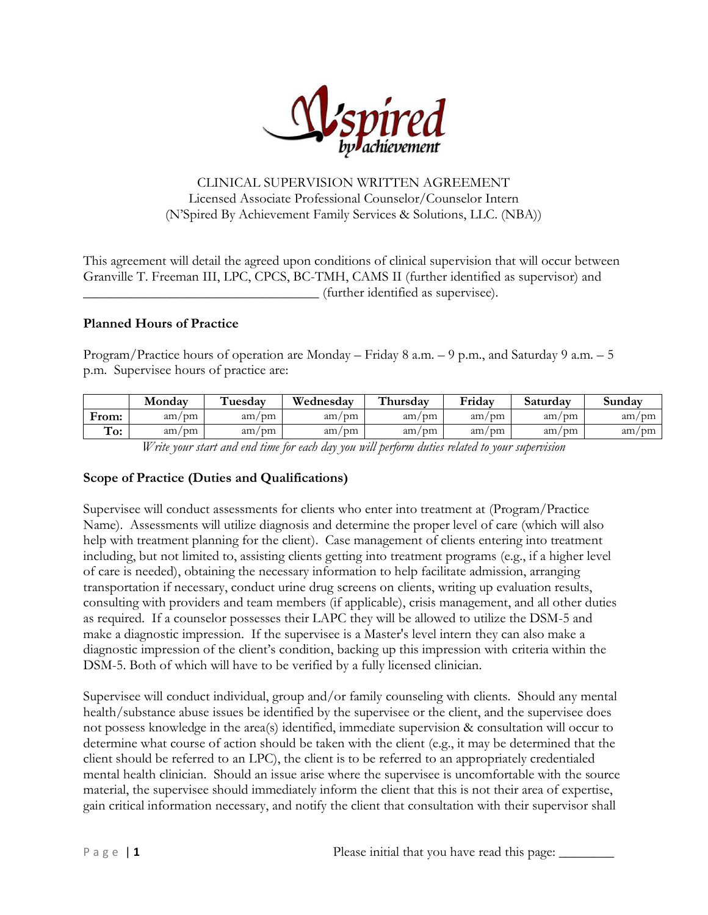

## CLINICAL SUPERVISION WRITTEN AGREEMENT Licensed Associate Professional Counselor/Counselor Intern (N'Spired By Achievement Family Services & Solutions, LLC. (NBA))

This agreement will detail the agreed upon conditions of clinical supervision that will occur between Granville T. Freeman III, LPC, CPCS, BC-TMH, CAMS II (further identified as supervisor) and \_\_\_\_\_\_\_\_\_\_\_\_\_\_\_\_\_\_\_\_\_\_\_\_\_\_\_\_\_\_\_\_\_\_ (further identified as supervisee).

## **Planned Hours of Practice**

Program/Practice hours of operation are Monday – Friday 8 a.m. – 9 p.m., and Saturday 9 a.m. – 5 p.m. Supervisee hours of practice are:

|          | Monday | `uesdav | Wednesday | <b>ET11</b><br>`hursdav | Fridav      | Saturday | Sundav |
|----------|--------|---------|-----------|-------------------------|-------------|----------|--------|
| From:    | am/m   | am/m    | am/m      | / pm<br>am              | am/m        | am/m     | am/m   |
| ⊶<br>To: | am/m   | am/m    | am/m      | am<br>' nm              | ' nm<br>am/ | am/m     | am/m   |

*Write your start and end time for each day you will perform duties related to your supervision*

#### **Scope of Practice (Duties and Qualifications)**

Supervisee will conduct assessments for clients who enter into treatment at (Program/Practice Name). Assessments will utilize diagnosis and determine the proper level of care (which will also help with treatment planning for the client). Case management of clients entering into treatment including, but not limited to, assisting clients getting into treatment programs (e.g., if a higher level of care is needed), obtaining the necessary information to help facilitate admission, arranging transportation if necessary, conduct urine drug screens on clients, writing up evaluation results, consulting with providers and team members (if applicable), crisis management, and all other duties as required. If a counselor possesses their LAPC they will be allowed to utilize the DSM-5 and make a diagnostic impression. If the supervisee is a Master's level intern they can also make a diagnostic impression of the client's condition, backing up this impression with criteria within the DSM-5. Both of which will have to be verified by a fully licensed clinician.

Supervisee will conduct individual, group and/or family counseling with clients. Should any mental health/substance abuse issues be identified by the supervisee or the client, and the supervisee does not possess knowledge in the area(s) identified, immediate supervision & consultation will occur to determine what course of action should be taken with the client (e.g., it may be determined that the client should be referred to an LPC), the client is to be referred to an appropriately credentialed mental health clinician. Should an issue arise where the supervisee is uncomfortable with the source material, the supervisee should immediately inform the client that this is not their area of expertise, gain critical information necessary, and notify the client that consultation with their supervisor shall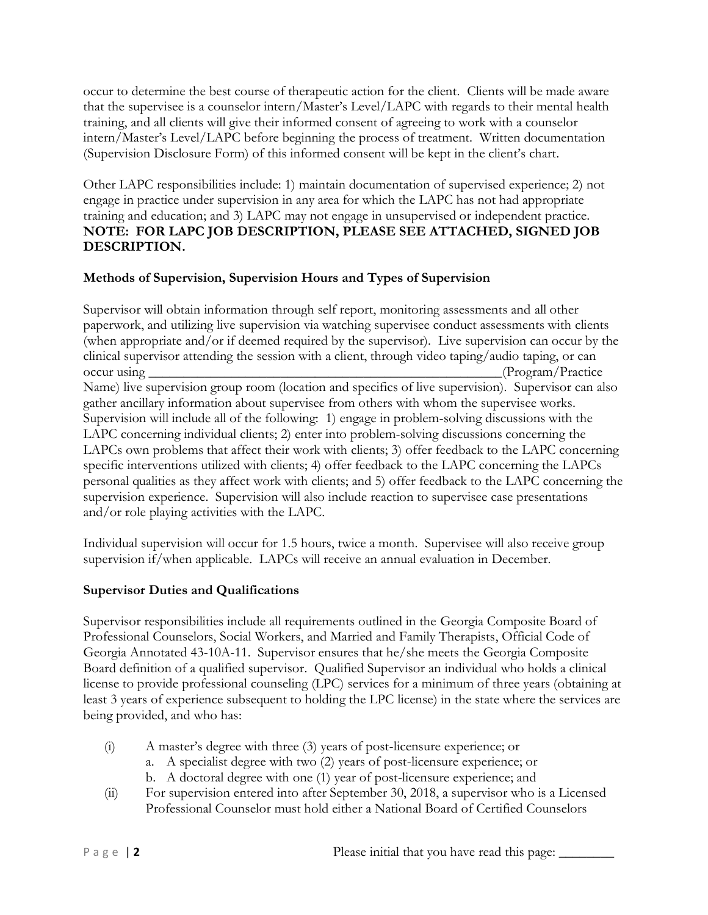occur to determine the best course of therapeutic action for the client. Clients will be made aware that the supervisee is a counselor intern/Master's Level/LAPC with regards to their mental health training, and all clients will give their informed consent of agreeing to work with a counselor intern/Master's Level/LAPC before beginning the process of treatment. Written documentation (Supervision Disclosure Form) of this informed consent will be kept in the client's chart.

Other LAPC responsibilities include: 1) maintain documentation of supervised experience; 2) not engage in practice under supervision in any area for which the LAPC has not had appropriate training and education; and 3) LAPC may not engage in unsupervised or independent practice. **NOTE: FOR LAPC JOB DESCRIPTION, PLEASE SEE ATTACHED, SIGNED JOB DESCRIPTION.**

## **Methods of Supervision, Supervision Hours and Types of Supervision**

Supervisor will obtain information through self report, monitoring assessments and all other paperwork, and utilizing live supervision via watching supervisee conduct assessments with clients (when appropriate and/or if deemed required by the supervisor). Live supervision can occur by the clinical supervisor attending the session with a client, through video taping/audio taping, or can occur using  $(\text{Program}/\text{Practice})$ Name) live supervision group room (location and specifics of live supervision). Supervisor can also gather ancillary information about supervisee from others with whom the supervisee works. Supervision will include all of the following: 1) engage in problem-solving discussions with the LAPC concerning individual clients; 2) enter into problem-solving discussions concerning the LAPCs own problems that affect their work with clients; 3) offer feedback to the LAPC concerning specific interventions utilized with clients; 4) offer feedback to the LAPC concerning the LAPCs personal qualities as they affect work with clients; and 5) offer feedback to the LAPC concerning the supervision experience. Supervision will also include reaction to supervisee case presentations and/or role playing activities with the LAPC.

Individual supervision will occur for 1.5 hours, twice a month. Supervisee will also receive group supervision if/when applicable. LAPCs will receive an annual evaluation in December.

# **Supervisor Duties and Qualifications**

Supervisor responsibilities include all requirements outlined in the Georgia Composite Board of Professional Counselors, Social Workers, and Married and Family Therapists, Official Code of Georgia Annotated 43-10A-11. Supervisor ensures that he/she meets the Georgia Composite Board definition of a qualified supervisor. Qualified Supervisor an individual who holds a clinical license to provide professional counseling (LPC) services for a minimum of three years (obtaining at least 3 years of experience subsequent to holding the LPC license) in the state where the services are being provided, and who has:

- (i) A master's degree with three (3) years of post-licensure experience; or
	- a. A specialist degree with two (2) years of post-licensure experience; or
	- b. A doctoral degree with one (1) year of post-licensure experience; and
- (ii) For supervision entered into after September 30, 2018, a supervisor who is a Licensed Professional Counselor must hold either a National Board of Certified Counselors